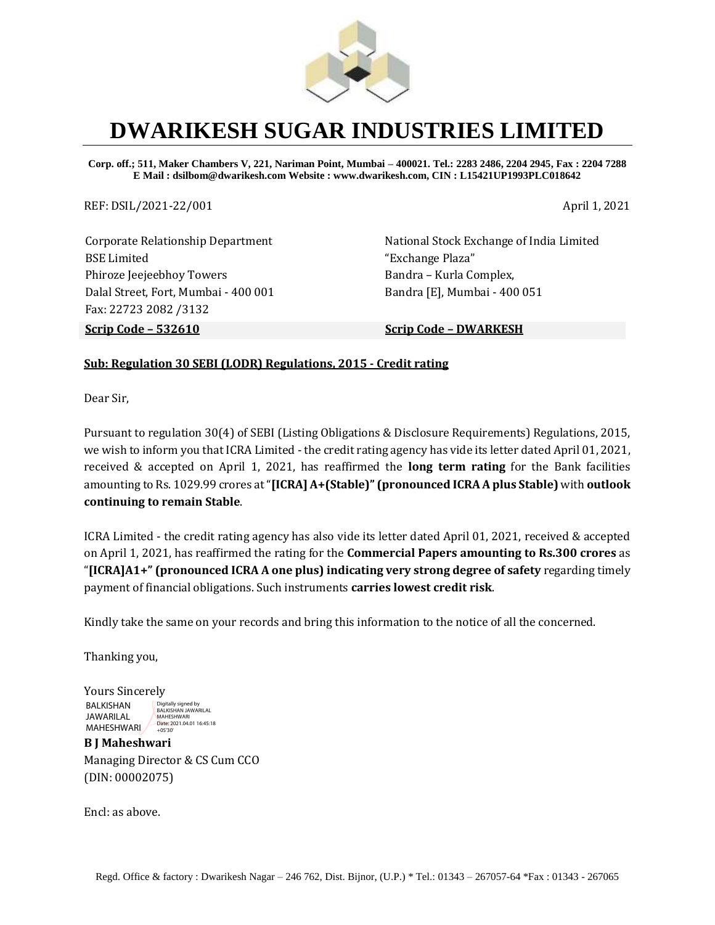

### **DWARIKESH SUGAR INDUSTRIES LIMITED**

**Corp. off.; 511, Maker Chambers V, 221, Nariman Point, Mumbai – 400021. Tel.: 2283 2486, 2204 2945, Fax : 2204 7288 E Mail : dsilbom@dwarikesh.com Website : www.dwarikesh.com, CIN : L15421UP1993PLC018642**

REF: DSIL/2021-22/001 April 1, 2021

Corporate Relationship Department BSE Limited Phiroze Jeejeebhoy Towers Dalal Street, Fort, Mumbai - 400 001 Fax: 22723 2082 /3132

National Stock Exchange of India Limited "Exchange Plaza" Bandra – Kurla Complex, Bandra [E], Mumbai - 400 051

**Scrip Code – 532610 Scrip Code – DWARKESH**

#### **Sub: Regulation 30 SEBI (LODR) Regulations, 2015 - Credit rating**

Dear Sir,

Pursuant to regulation 30(4) of SEBI (Listing Obligations & Disclosure Requirements) Regulations, 2015, we wish to inform you that ICRA Limited - the credit rating agency has vide its letter dated April 01, 2021, received & accepted on April 1, 2021, has reaffirmed the **long term rating** for the Bank facilities amounting to Rs. 1029.99 crores at "**[ICRA] A+(Stable)" (pronounced ICRA A plus Stable)** with **outlook continuing to remain Stable**.

ICRA Limited - the credit rating agency has also vide its letter dated April 01, 2021, received & accepted on April 1, 2021, has reaffirmed the rating for the **Commercial Papers amounting to Rs.300 crores** as "**[ICRA]A1+" (pronounced ICRA A one plus) indicating very strong degree of safety** regarding timely payment of financial obligations. Such instruments **carries lowest credit risk**.

Kindly take the same on your records and bring this information to the notice of all the concerned.

Thanking you,

Yours Sincerely BALKISHAN JAWARILAL MAHESHWARI Digitally signed by BALKISHAN JAWARILAL MAHESHWARI Date: 2021.04.01 16:45:18  $+05'30'$ 

**B J Maheshwari** Managing Director & CS Cum CCO (DIN: 00002075)

Encl: as above.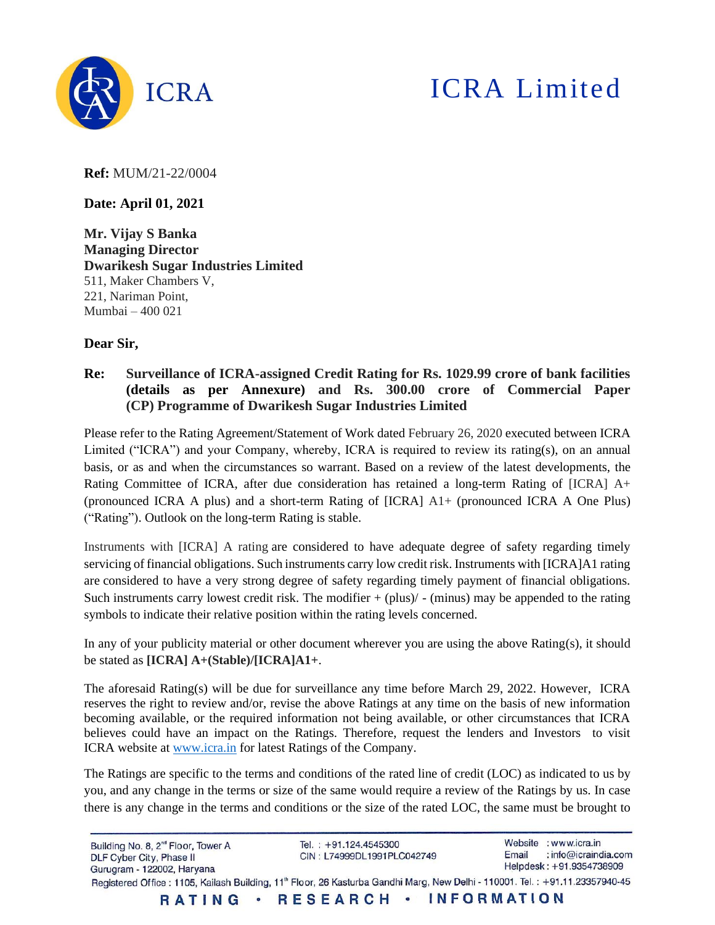

# ICRA Limited

**Ref:** MUM/21-22/0004

**Date: April 01, 2021**

**Mr. Vijay S Banka Managing Director Dwarikesh Sugar Industries Limited** 511, Maker Chambers V, 221, Nariman Point, Mumbai – 400 021

#### **Dear Sir,**

**Re: Surveillance of ICRA-assigned Credit Rating for Rs. 1029.99 crore of bank facilities (details as per Annexure) and Rs. 300.00 crore of Commercial Paper (CP) Programme of Dwarikesh Sugar Industries Limited**

Please refer to the Rating Agreement/Statement of Work dated February 26, 2020 executed between ICRA Limited ("ICRA") and your Company, whereby, ICRA is required to review its rating(s), on an annual basis, or as and when the circumstances so warrant. Based on a review of the latest developments, the Rating Committee of ICRA, after due consideration has retained a long-term Rating of  $[ICRA]$  A+ (pronounced ICRA A plus) and a short-term Rating of [ICRA] A1+ (pronounced ICRA A One Plus) ("Rating"). Outlook on the long-term Rating is stable.

Instruments with [ICRA] A rating are considered to have adequate degree of safety regarding timely servicing of financial obligations. Such instruments carry low credit risk. Instruments with [ICRA]A1 rating are considered to have a very strong degree of safety regarding timely payment of financial obligations. Such instruments carry lowest credit risk. The modifier  $+$  (plus)  $/$  - (minus) may be appended to the rating symbols to indicate their relative position within the rating levels concerned.

In any of your publicity material or other document wherever you are using the above Rating(s), it should be stated as **[ICRA] A+(Stable)/[ICRA]A1+**.

The aforesaid Rating(s) will be due for surveillance any time before March 29, 2022. However, ICRA reserves the right to review and/or, revise the above Ratings at any time on the basis of new information becoming available, or the required information not being available, or other circumstances that ICRA believes could have an impact on the Ratings. Therefore, request the lenders and Investors to visit ICRA website at [www.icra.in](http://www.icra.in/) for latest Ratings of the Company.

The Ratings are specific to the terms and conditions of the rated line of credit (LOC) as indicated to us by you, and any change in the terms or size of the same would require a review of the Ratings by us. In case there is any change in the terms and conditions or the size of the rated LOC, the same must be brought to

Website : www.icra.in Building No. 8, 2<sup>nd</sup> Floor, Tower A Tel.: +91.124.4545300 Email : info@icraindia.com CIN: L74999DL1991PLC042749 DLF Cyber City, Phase II Helpdesk: +91.9354738909 Gurugram - 122002, Haryana Registered Office: 1105, Kailash Building, 11<sup>th</sup> Floor, 26 Kasturba Gandhi Marg, New Delhi - 110001. Tel.: +91.11.23357940-45 RESEARCH · INFORMATION RATING .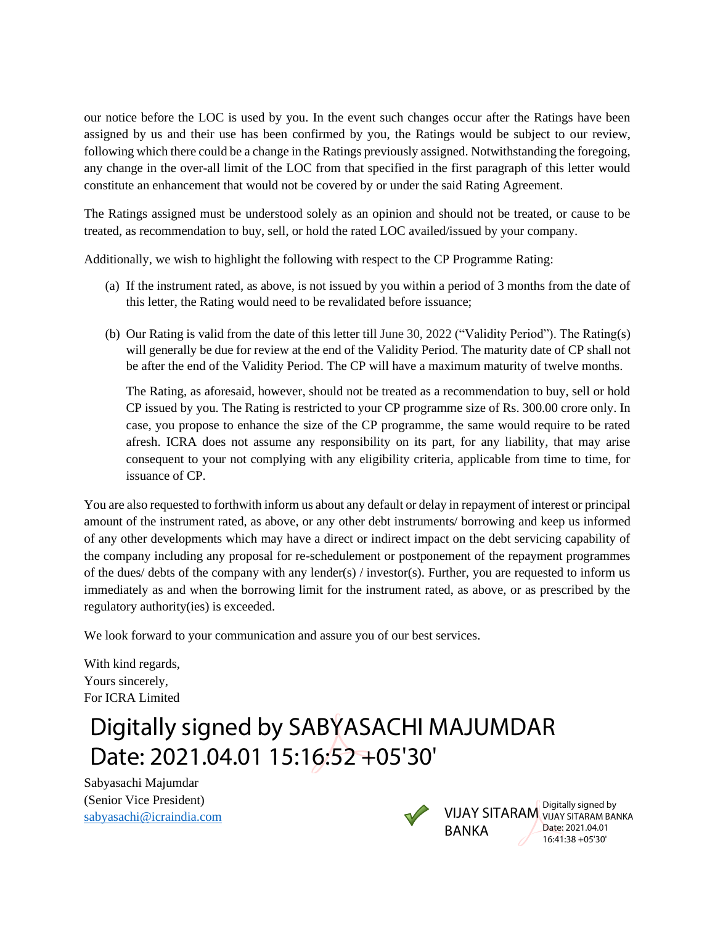our notice before the LOC is used by you. In the event such changes occur after the Ratings have been assigned by us and their use has been confirmed by you, the Ratings would be subject to our review, following which there could be a change in the Ratings previously assigned. Notwithstanding the foregoing, any change in the over-all limit of the LOC from that specified in the first paragraph of this letter would constitute an enhancement that would not be covered by or under the said Rating Agreement.

The Ratings assigned must be understood solely as an opinion and should not be treated, or cause to be treated, as recommendation to buy, sell, or hold the rated LOC availed/issued by your company.

Additionally, we wish to highlight the following with respect to the CP Programme Rating:

- (a) If the instrument rated, as above, is not issued by you within a period of 3 months from the date of this letter, the Rating would need to be revalidated before issuance;
- (b) Our Rating is valid from the date of this letter till June 30, 2022 ("Validity Period"). The Rating(s) will generally be due for review at the end of the Validity Period. The maturity date of CP shall not be after the end of the Validity Period. The CP will have a maximum maturity of twelve months.

The Rating, as aforesaid, however, should not be treated as a recommendation to buy, sell or hold CP issued by you. The Rating is restricted to your CP programme size of Rs. 300.00 crore only. In case, you propose to enhance the size of the CP programme, the same would require to be rated afresh. ICRA does not assume any responsibility on its part, for any liability, that may arise consequent to your not complying with any eligibility criteria, applicable from time to time, for issuance of CP.

You are also requested to forthwith inform us about any default or delay in repayment of interest or principal amount of the instrument rated, as above, or any other debt instruments/ borrowing and keep us informed of any other developments which may have a direct or indirect impact on the debt servicing capability of the company including any proposal for re-schedulement or postponement of the repayment programmes of the dues/ debts of the company with any lender(s) / investor(s). Further, you are requested to inform us immediately as and when the borrowing limit for the instrument rated, as above, or as prescribed by the regulatory authority(ies) is exceeded.

We look forward to your communication and assure you of our best services.

With kind regards, Yours sincerely, For ICRA Limited

# Digitally signed by SABYASACHI MAJUMDAR Date: 2021.04.01 15:16:52 +05'30'

Sabyasachi Majumdar (Senior Vice President) [sabyasachi@icraindia.com](mailto:sabyasachi@icraindia.com)



BANKA

VIJAY SITARAM VIJAY SITARAM BANKA Digitally signed by Date: 2021.04.01 16:41:38 +05'30'